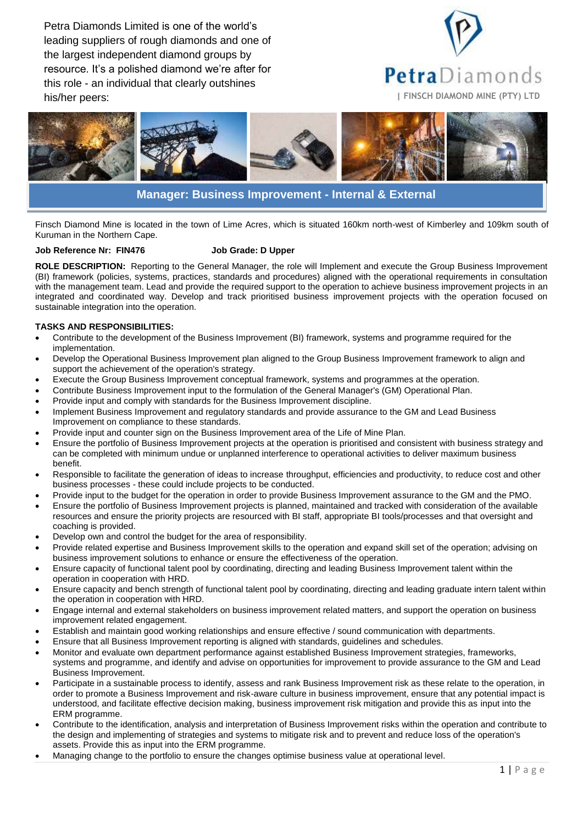Petra Diamonds Limited is one of the world's leading suppliers of rough diamonds and one of the largest independent diamond groups by resource. It's a polished diamond we're after for this role - an individual that clearly outshines his/her peers: **| FINSCH DIAMOND MINE (PTY) LTD**





# **Manager: Business Improvement - Internal & External**

Finsch Diamond Mine is located in the town of Lime Acres, which is situated 160km north-west of Kimberley and 109km south of Kuruman in the Northern Cape.

#### **Job Reference Nr: FIN476 Job Grade: D Upper**

**ROLE DESCRIPTION:** Reporting to the General Manager, the role will Implement and execute the Group Business Improvement (BI) framework (policies, systems, practices, standards and procedures) aligned with the operational requirements in consultation with the management team. Lead and provide the required support to the operation to achieve business improvement projects in an integrated and coordinated way. Develop and track prioritised business improvement projects with the operation focused on sustainable integration into the operation.

## **TASKS AND RESPONSIBILITIES:**

- Contribute to the development of the Business Improvement (BI) framework, systems and programme required for the implementation.
- Develop the Operational Business Improvement plan aligned to the Group Business Improvement framework to align and support the achievement of the operation's strategy.
- Execute the Group Business Improvement conceptual framework, systems and programmes at the operation.
- Contribute Business Improvement input to the formulation of the General Manager's (GM) Operational Plan.
- Provide input and comply with standards for the Business Improvement discipline.
- Implement Business Improvement and regulatory standards and provide assurance to the GM and Lead Business Improvement on compliance to these standards.
- Provide input and counter sign on the Business Improvement area of the Life of Mine Plan.
- Ensure the portfolio of Business Improvement projects at the operation is prioritised and consistent with business strategy and can be completed with minimum undue or unplanned interference to operational activities to deliver maximum business benefit.
- Responsible to facilitate the generation of ideas to increase throughput, efficiencies and productivity, to reduce cost and other business processes - these could include projects to be conducted.
- Provide input to the budget for the operation in order to provide Business Improvement assurance to the GM and the PMO.
- Ensure the portfolio of Business Improvement projects is planned, maintained and tracked with consideration of the available resources and ensure the priority projects are resourced with BI staff, appropriate BI tools/processes and that oversight and coaching is provided.
- Develop own and control the budget for the area of responsibility.
- Provide related expertise and Business Improvement skills to the operation and expand skill set of the operation; advising on business improvement solutions to enhance or ensure the effectiveness of the operation.
- Ensure capacity of functional talent pool by coordinating, directing and leading Business Improvement talent within the operation in cooperation with HRD.
- Ensure capacity and bench strength of functional talent pool by coordinating, directing and leading graduate intern talent within the operation in cooperation with HRD.
- Engage internal and external stakeholders on business improvement related matters, and support the operation on business improvement related engagement.
- Establish and maintain good working relationships and ensure effective / sound communication with departments.
- Ensure that all Business Improvement reporting is aligned with standards, guidelines and schedules.
- Monitor and evaluate own department performance against established Business Improvement strategies, frameworks, systems and programme, and identify and advise on opportunities for improvement to provide assurance to the GM and Lead Business Improvement.
- Participate in a sustainable process to identify, assess and rank Business Improvement risk as these relate to the operation, in order to promote a Business Improvement and risk-aware culture in business improvement, ensure that any potential impact is understood, and facilitate effective decision making, business improvement risk mitigation and provide this as input into the ERM programme.
- Contribute to the identification, analysis and interpretation of Business Improvement risks within the operation and contribute to the design and implementing of strategies and systems to mitigate risk and to prevent and reduce loss of the operation's assets. Provide this as input into the ERM programme.
- Managing change to the portfolio to ensure the changes optimise business value at operational level.